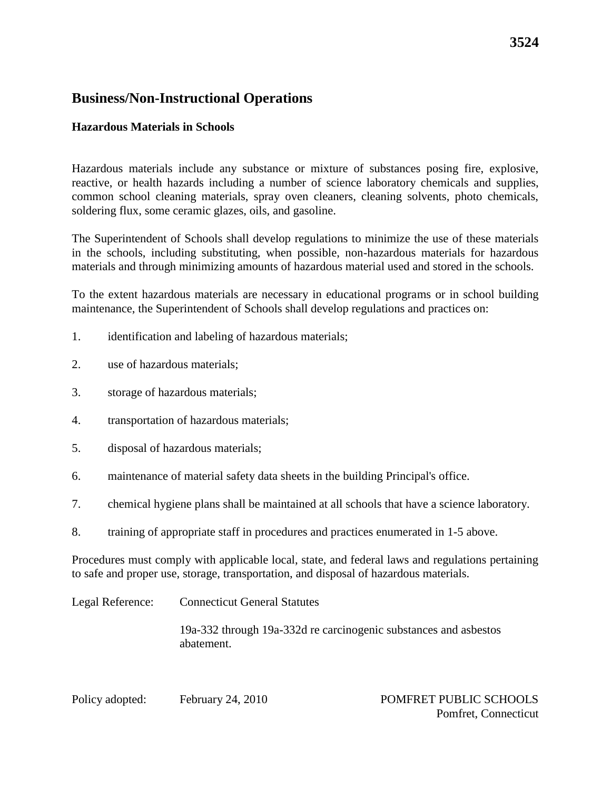### **Hazardous Materials in Schools**

Hazardous materials include any substance or mixture of substances posing fire, explosive, reactive, or health hazards including a number of science laboratory chemicals and supplies, common school cleaning materials, spray oven cleaners, cleaning solvents, photo chemicals, soldering flux, some ceramic glazes, oils, and gasoline.

The Superintendent of Schools shall develop regulations to minimize the use of these materials in the schools, including substituting, when possible, non-hazardous materials for hazardous materials and through minimizing amounts of hazardous material used and stored in the schools.

To the extent hazardous materials are necessary in educational programs or in school building maintenance, the Superintendent of Schools shall develop regulations and practices on:

- 1. identification and labeling of hazardous materials;
- 2. use of hazardous materials;
- 3. storage of hazardous materials;
- 4. transportation of hazardous materials;
- 5. disposal of hazardous materials;
- 6. maintenance of material safety data sheets in the building Principal's office.
- 7. chemical hygiene plans shall be maintained at all schools that have a science laboratory.
- 8. training of appropriate staff in procedures and practices enumerated in 1-5 above.

Procedures must comply with applicable local, state, and federal laws and regulations pertaining to safe and proper use, storage, transportation, and disposal of hazardous materials.

| Legal Reference: | <b>Connecticut General Statutes</b>                                            |
|------------------|--------------------------------------------------------------------------------|
|                  | 19a-332 through 19a-332d re carcinogenic substances and asbestos<br>abatement. |

Policy adopted: February 24, 2010 POMFRET PUBLIC SCHOOLS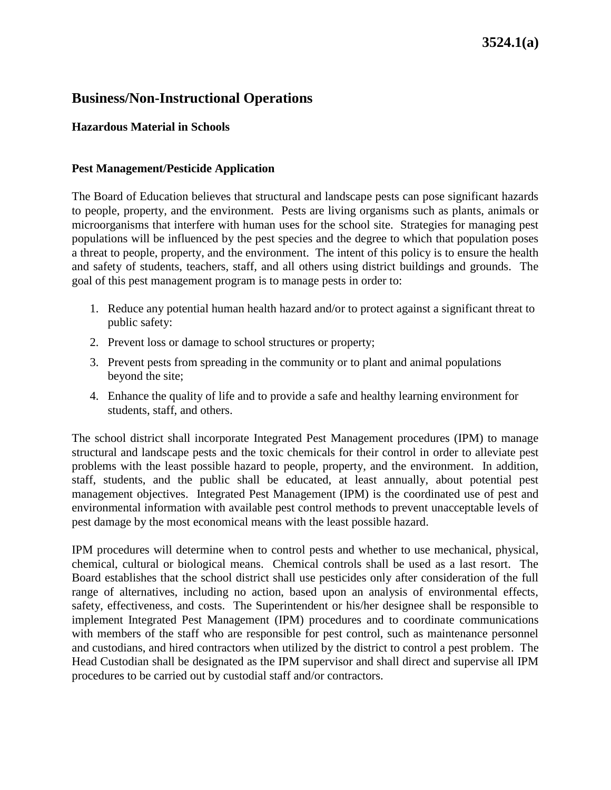## **Hazardous Material in Schools**

#### **Pest Management/Pesticide Application**

The Board of Education believes that structural and landscape pests can pose significant hazards to people, property, and the environment. Pests are living organisms such as plants, animals or microorganisms that interfere with human uses for the school site. Strategies for managing pest populations will be influenced by the pest species and the degree to which that population poses a threat to people, property, and the environment. The intent of this policy is to ensure the health and safety of students, teachers, staff, and all others using district buildings and grounds. The goal of this pest management program is to manage pests in order to:

- 1. Reduce any potential human health hazard and/or to protect against a significant threat to public safety:
- 2. Prevent loss or damage to school structures or property;
- 3. Prevent pests from spreading in the community or to plant and animal populations beyond the site;
- 4. Enhance the quality of life and to provide a safe and healthy learning environment for students, staff, and others.

The school district shall incorporate Integrated Pest Management procedures (IPM) to manage structural and landscape pests and the toxic chemicals for their control in order to alleviate pest problems with the least possible hazard to people, property, and the environment. In addition, staff, students, and the public shall be educated, at least annually, about potential pest management objectives. Integrated Pest Management (IPM) is the coordinated use of pest and environmental information with available pest control methods to prevent unacceptable levels of pest damage by the most economical means with the least possible hazard.

IPM procedures will determine when to control pests and whether to use mechanical, physical, chemical, cultural or biological means. Chemical controls shall be used as a last resort. The Board establishes that the school district shall use pesticides only after consideration of the full range of alternatives, including no action, based upon an analysis of environmental effects, safety, effectiveness, and costs. The Superintendent or his/her designee shall be responsible to implement Integrated Pest Management (IPM) procedures and to coordinate communications with members of the staff who are responsible for pest control, such as maintenance personnel and custodians, and hired contractors when utilized by the district to control a pest problem. The Head Custodian shall be designated as the IPM supervisor and shall direct and supervise all IPM procedures to be carried out by custodial staff and/or contractors.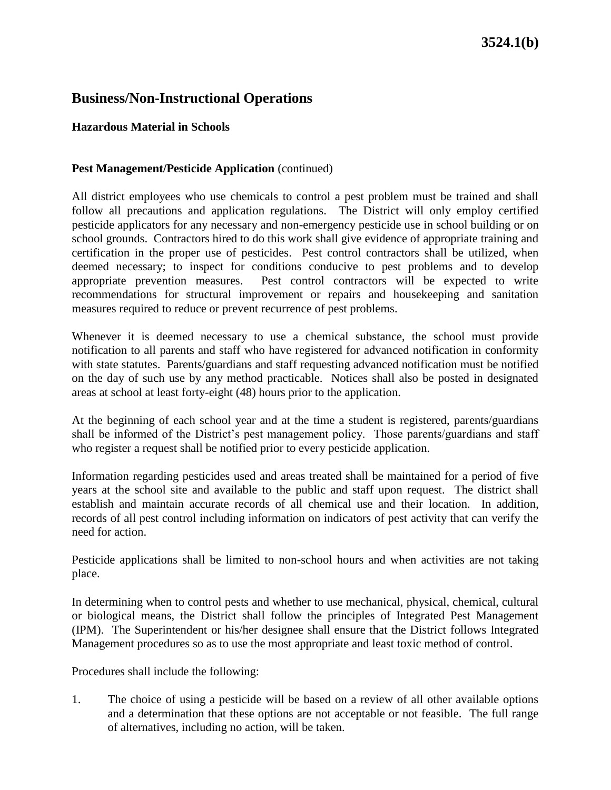#### **Hazardous Material in Schools**

#### **Pest Management/Pesticide Application** (continued)

All district employees who use chemicals to control a pest problem must be trained and shall follow all precautions and application regulations. The District will only employ certified pesticide applicators for any necessary and non-emergency pesticide use in school building or on school grounds. Contractors hired to do this work shall give evidence of appropriate training and certification in the proper use of pesticides. Pest control contractors shall be utilized, when deemed necessary; to inspect for conditions conducive to pest problems and to develop appropriate prevention measures. Pest control contractors will be expected to write recommendations for structural improvement or repairs and housekeeping and sanitation measures required to reduce or prevent recurrence of pest problems.

Whenever it is deemed necessary to use a chemical substance, the school must provide notification to all parents and staff who have registered for advanced notification in conformity with state statutes. Parents/guardians and staff requesting advanced notification must be notified on the day of such use by any method practicable. Notices shall also be posted in designated areas at school at least forty-eight (48) hours prior to the application.

At the beginning of each school year and at the time a student is registered, parents/guardians shall be informed of the District's pest management policy. Those parents/guardians and staff who register a request shall be notified prior to every pesticide application.

Information regarding pesticides used and areas treated shall be maintained for a period of five years at the school site and available to the public and staff upon request. The district shall establish and maintain accurate records of all chemical use and their location. In addition, records of all pest control including information on indicators of pest activity that can verify the need for action.

Pesticide applications shall be limited to non-school hours and when activities are not taking place.

In determining when to control pests and whether to use mechanical, physical, chemical, cultural or biological means, the District shall follow the principles of Integrated Pest Management (IPM). The Superintendent or his/her designee shall ensure that the District follows Integrated Management procedures so as to use the most appropriate and least toxic method of control.

Procedures shall include the following:

1. The choice of using a pesticide will be based on a review of all other available options and a determination that these options are not acceptable or not feasible. The full range of alternatives, including no action, will be taken.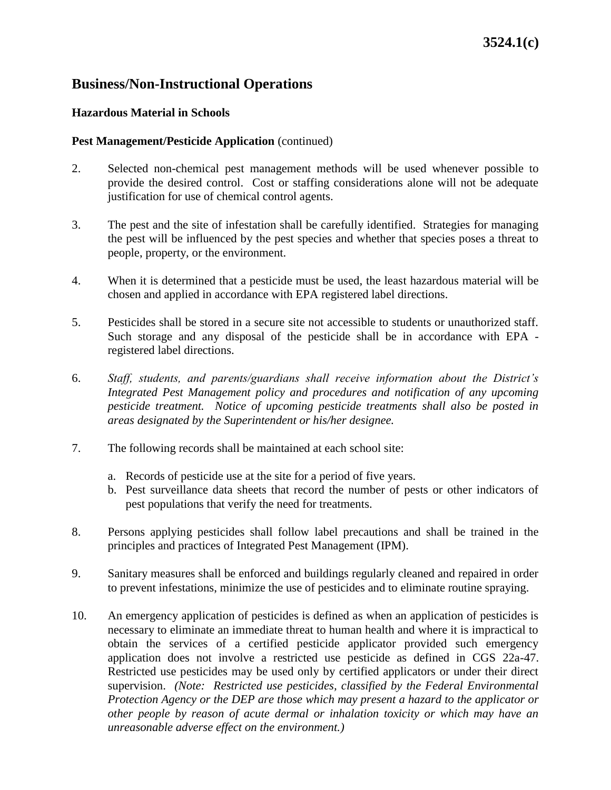### **Hazardous Material in Schools**

#### **Pest Management/Pesticide Application** (continued)

- 2. Selected non-chemical pest management methods will be used whenever possible to provide the desired control. Cost or staffing considerations alone will not be adequate justification for use of chemical control agents.
- 3. The pest and the site of infestation shall be carefully identified. Strategies for managing the pest will be influenced by the pest species and whether that species poses a threat to people, property, or the environment.
- 4. When it is determined that a pesticide must be used, the least hazardous material will be chosen and applied in accordance with EPA registered label directions.
- 5. Pesticides shall be stored in a secure site not accessible to students or unauthorized staff. Such storage and any disposal of the pesticide shall be in accordance with EPA registered label directions.
- 6. *Staff, students, and parents/guardians shall receive information about the District's Integrated Pest Management policy and procedures and notification of any upcoming pesticide treatment. Notice of upcoming pesticide treatments shall also be posted in areas designated by the Superintendent or his/her designee.*
- 7. The following records shall be maintained at each school site:
	- a. Records of pesticide use at the site for a period of five years.
	- b. Pest surveillance data sheets that record the number of pests or other indicators of pest populations that verify the need for treatments.
- 8. Persons applying pesticides shall follow label precautions and shall be trained in the principles and practices of Integrated Pest Management (IPM).
- 9. Sanitary measures shall be enforced and buildings regularly cleaned and repaired in order to prevent infestations, minimize the use of pesticides and to eliminate routine spraying.
- 10. An emergency application of pesticides is defined as when an application of pesticides is necessary to eliminate an immediate threat to human health and where it is impractical to obtain the services of a certified pesticide applicator provided such emergency application does not involve a restricted use pesticide as defined in CGS 22a-47. Restricted use pesticides may be used only by certified applicators or under their direct supervision. *(Note: Restricted use pesticides, classified by the Federal Environmental Protection Agency or the DEP are those which may present a hazard to the applicator or other people by reason of acute dermal or inhalation toxicity or which may have an unreasonable adverse effect on the environment.)*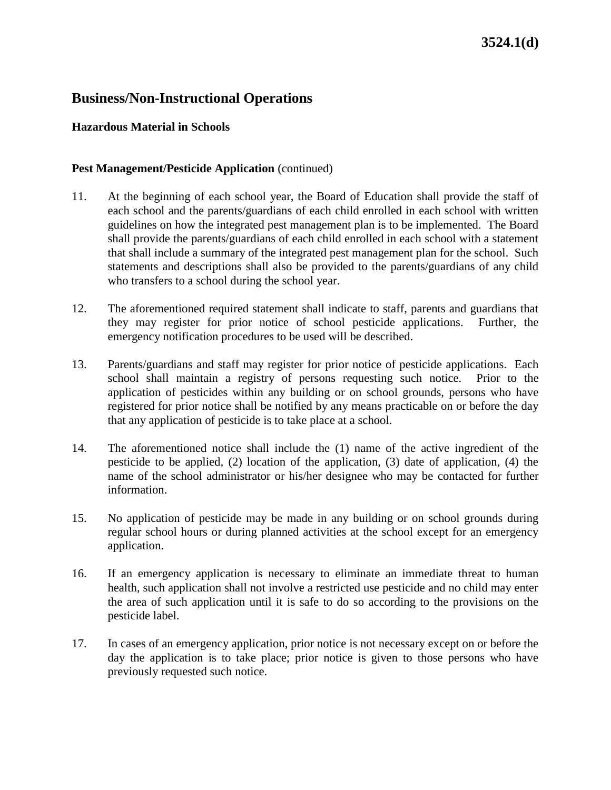#### **Hazardous Material in Schools**

#### **Pest Management/Pesticide Application** (continued)

- 11. At the beginning of each school year, the Board of Education shall provide the staff of each school and the parents/guardians of each child enrolled in each school with written guidelines on how the integrated pest management plan is to be implemented. The Board shall provide the parents/guardians of each child enrolled in each school with a statement that shall include a summary of the integrated pest management plan for the school. Such statements and descriptions shall also be provided to the parents/guardians of any child who transfers to a school during the school year.
- 12. The aforementioned required statement shall indicate to staff, parents and guardians that they may register for prior notice of school pesticide applications. Further, the emergency notification procedures to be used will be described.
- 13. Parents/guardians and staff may register for prior notice of pesticide applications. Each school shall maintain a registry of persons requesting such notice. Prior to the application of pesticides within any building or on school grounds, persons who have registered for prior notice shall be notified by any means practicable on or before the day that any application of pesticide is to take place at a school.
- 14. The aforementioned notice shall include the (1) name of the active ingredient of the pesticide to be applied, (2) location of the application, (3) date of application, (4) the name of the school administrator or his/her designee who may be contacted for further information.
- 15. No application of pesticide may be made in any building or on school grounds during regular school hours or during planned activities at the school except for an emergency application.
- 16. If an emergency application is necessary to eliminate an immediate threat to human health, such application shall not involve a restricted use pesticide and no child may enter the area of such application until it is safe to do so according to the provisions on the pesticide label.
- 17. In cases of an emergency application, prior notice is not necessary except on or before the day the application is to take place; prior notice is given to those persons who have previously requested such notice.